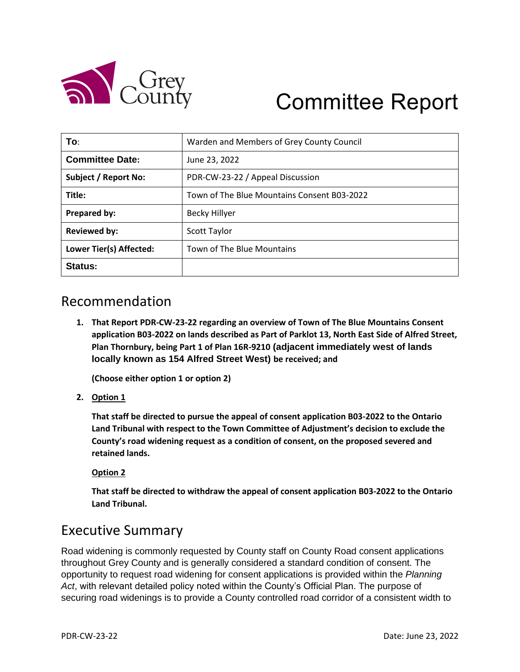

# Committee Report

| To∶                         | Warden and Members of Grey County Council   |
|-----------------------------|---------------------------------------------|
| <b>Committee Date:</b>      | June 23, 2022                               |
| <b>Subject / Report No:</b> | PDR-CW-23-22 / Appeal Discussion            |
| Title:                      | Town of The Blue Mountains Consent B03-2022 |
| Prepared by:                | <b>Becky Hillyer</b>                        |
| <b>Reviewed by:</b>         | <b>Scott Taylor</b>                         |
| Lower Tier(s) Affected:     | Town of The Blue Mountains                  |
| Status:                     |                                             |

# Recommendation

**1. That Report PDR-CW-23-22 regarding an overview of Town of The Blue Mountains Consent application B03-2022 on lands described as Part of Parklot 13, North East Side of Alfred Street, Plan Thornbury, being Part 1 of Plan 16R-9210 (adjacent immediately west of lands locally known as 154 Alfred Street West) be received; and**

**(Choose either option 1 or option 2)**

**2. Option 1**

**That staff be directed to pursue the appeal of consent application B03-2022 to the Ontario Land Tribunal with respect to the Town Committee of Adjustment's decision to exclude the County's road widening request as a condition of consent, on the proposed severed and retained lands.**

#### **Option 2**

**That staff be directed to withdraw the appeal of consent application B03-2022 to the Ontario Land Tribunal.**

### Executive Summary

Road widening is commonly requested by County staff on County Road consent applications throughout Grey County and is generally considered a standard condition of consent. The opportunity to request road widening for consent applications is provided within the *Planning Act*, with relevant detailed policy noted within the County's Official Plan. The purpose of securing road widenings is to provide a County controlled road corridor of a consistent width to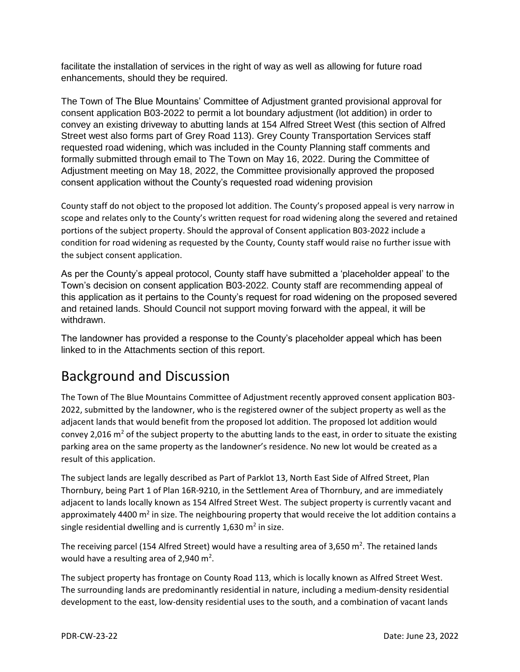facilitate the installation of services in the right of way as well as allowing for future road enhancements, should they be required.

The Town of The Blue Mountains' Committee of Adjustment granted provisional approval for consent application B03-2022 to permit a lot boundary adjustment (lot addition) in order to convey an existing driveway to abutting lands at 154 Alfred Street West (this section of Alfred Street west also forms part of Grey Road 113). Grey County Transportation Services staff requested road widening, which was included in the County Planning staff comments and formally submitted through email to The Town on May 16, 2022. During the Committee of Adjustment meeting on May 18, 2022, the Committee provisionally approved the proposed consent application without the County's requested road widening provision

County staff do not object to the proposed lot addition. The County's proposed appeal is very narrow in scope and relates only to the County's written request for road widening along the severed and retained portions of the subject property. Should the approval of Consent application B03-2022 include a condition for road widening as requested by the County, County staff would raise no further issue with the subject consent application.

As per the County's appeal protocol, County staff have submitted a 'placeholder appeal' to the Town's decision on consent application B03-2022. County staff are recommending appeal of this application as it pertains to the County's request for road widening on the proposed severed and retained lands. Should Council not support moving forward with the appeal, it will be withdrawn.

The landowner has provided a response to the County's placeholder appeal which has been linked to in the Attachments section of this report.

# Background and Discussion

The Town of The Blue Mountains Committee of Adjustment recently approved consent application B03- 2022, submitted by the landowner, who is the registered owner of the subject property as well as the adjacent lands that would benefit from the proposed lot addition. The proposed lot addition would convey 2,016  $\text{m}^2$  of the subject property to the abutting lands to the east, in order to situate the existing parking area on the same property as the landowner's residence. No new lot would be created as a result of this application.

The subject lands are legally described as Part of Parklot 13, North East Side of Alfred Street, Plan Thornbury, being Part 1 of Plan 16R-9210, in the Settlement Area of Thornbury, and are immediately adjacent to lands locally known as 154 Alfred Street West. The subject property is currently vacant and approximately 4400 m<sup>2</sup> in size. The neighbouring property that would receive the lot addition contains a single residential dwelling and is currently 1,630  $m^2$  in size.

The receiving parcel (154 Alfred Street) would have a resulting area of 3,650 m<sup>2</sup>. The retained lands would have a resulting area of 2,940  $m^2$ .

The subject property has frontage on County Road 113, which is locally known as Alfred Street West. The surrounding lands are predominantly residential in nature, including a medium-density residential development to the east, low-density residential uses to the south, and a combination of vacant lands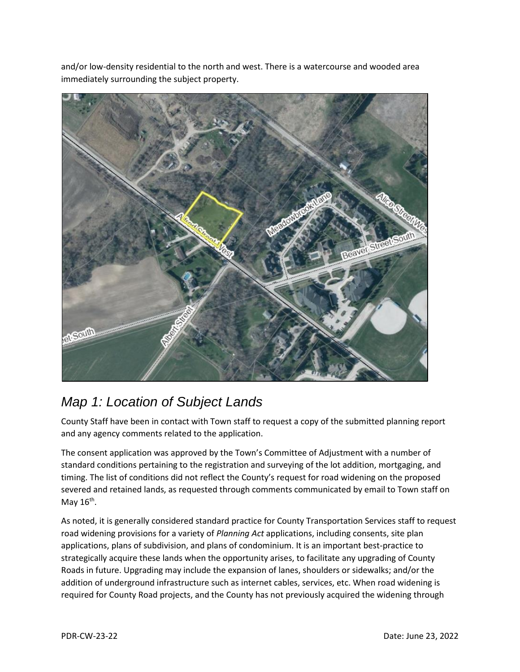$strc$ Beavel **ASOULD** 

and/or low-density residential to the north and west. There is a watercourse and wooded area immediately surrounding the subject property.

# *Map 1: Location of Subject Lands*

County Staff have been in contact with Town staff to request a copy of the submitted planning report and any agency comments related to the application.

The consent application was approved by the Town's Committee of Adjustment with a number of standard conditions pertaining to the registration and surveying of the lot addition, mortgaging, and timing. The list of conditions did not reflect the County's request for road widening on the proposed severed and retained lands, as requested through comments communicated by email to Town staff on May 16<sup>th</sup>.

As noted, it is generally considered standard practice for County Transportation Services staff to request road widening provisions for a variety of *Planning Act* applications, including consents, site plan applications, plans of subdivision, and plans of condominium. It is an important best-practice to strategically acquire these lands when the opportunity arises, to facilitate any upgrading of County Roads in future. Upgrading may include the expansion of lanes, shoulders or sidewalks; and/or the addition of underground infrastructure such as internet cables, services, etc. When road widening is required for County Road projects, and the County has not previously acquired the widening through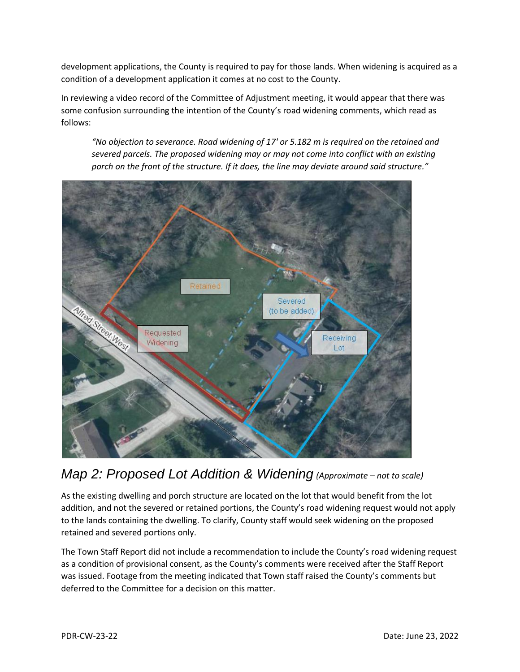development applications, the County is required to pay for those lands. When widening is acquired as a condition of a development application it comes at no cost to the County.

In reviewing a video record of the Committee of Adjustment meeting, it would appear that there was some confusion surrounding the intention of the County's road widening comments, which read as follows:

*"No objection to severance. Road widening of 17' or 5.182 m is required on the retained and severed parcels. The proposed widening may or may not come into conflict with an existing porch on the front of the structure. If it does, the line may deviate around said structure."*



# *Map 2: Proposed Lot Addition & Widening (Approximate – not to scale)*

As the existing dwelling and porch structure are located on the lot that would benefit from the lot addition, and not the severed or retained portions, the County's road widening request would not apply to the lands containing the dwelling. To clarify, County staff would seek widening on the proposed retained and severed portions only.

The Town Staff Report did not include a recommendation to include the County's road widening request as a condition of provisional consent, as the County's comments were received after the Staff Report was issued. Footage from the meeting indicated that Town staff raised the County's comments but deferred to the Committee for a decision on this matter.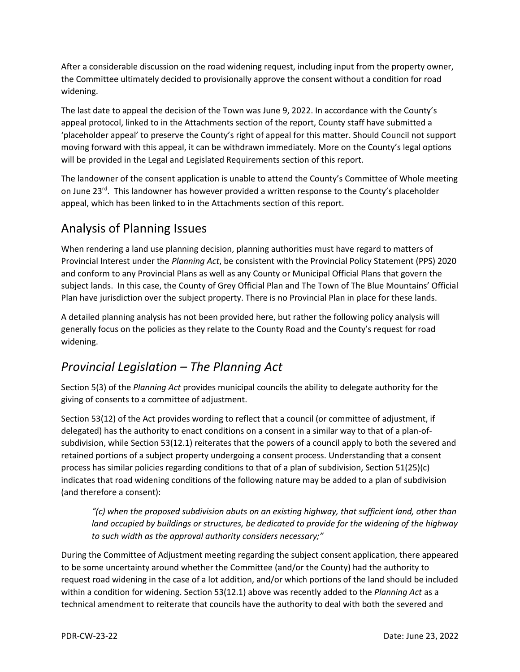After a considerable discussion on the road widening request, including input from the property owner, the Committee ultimately decided to provisionally approve the consent without a condition for road widening.

The last date to appeal the decision of the Town was June 9, 2022. In accordance with the County's appeal protocol, linked to in the Attachments section of the report, County staff have submitted a 'placeholder appeal' to preserve the County's right of appeal for this matter. Should Council not support moving forward with this appeal, it can be withdrawn immediately. More on the County's legal options will be provided in the Legal and Legislated Requirements section of this report.

The landowner of the consent application is unable to attend the County's Committee of Whole meeting on June 23<sup>rd</sup>. This landowner has however provided a written response to the County's placeholder appeal, which has been linked to in the Attachments section of this report.

# Analysis of Planning Issues

When rendering a land use planning decision, planning authorities must have regard to matters of Provincial Interest under the *Planning Act*, be consistent with the Provincial Policy Statement (PPS) 2020 and conform to any Provincial Plans as well as any County or Municipal Official Plans that govern the subject lands. In this case, the County of Grey Official Plan and The Town of The Blue Mountains' Official Plan have jurisdiction over the subject property. There is no Provincial Plan in place for these lands.

A detailed planning analysis has not been provided here, but rather the following policy analysis will generally focus on the policies as they relate to the County Road and the County's request for road widening.

### *Provincial Legislation – The Planning Act*

Section 5(3) of the *Planning Act* provides municipal councils the ability to delegate authority for the giving of consents to a committee of adjustment.

Section 53(12) of the Act provides wording to reflect that a council (or committee of adjustment, if delegated) has the authority to enact conditions on a consent in a similar way to that of a plan-ofsubdivision, while Section 53(12.1) reiterates that the powers of a council apply to both the severed and retained portions of a subject property undergoing a consent process. Understanding that a consent process has similar policies regarding conditions to that of a plan of subdivision, Section 51(25)(c) indicates that road widening conditions of the following nature may be added to a plan of subdivision (and therefore a consent):

*"(c) when the proposed subdivision abuts on an existing highway, that sufficient land, other than land occupied by buildings or structures, be dedicated to provide for the widening of the highway to such width as the approval authority considers necessary;"*

During the Committee of Adjustment meeting regarding the subject consent application, there appeared to be some uncertainty around whether the Committee (and/or the County) had the authority to request road widening in the case of a lot addition, and/or which portions of the land should be included within a condition for widening. Section 53(12.1) above was recently added to the *Planning Act* as a technical amendment to reiterate that councils have the authority to deal with both the severed and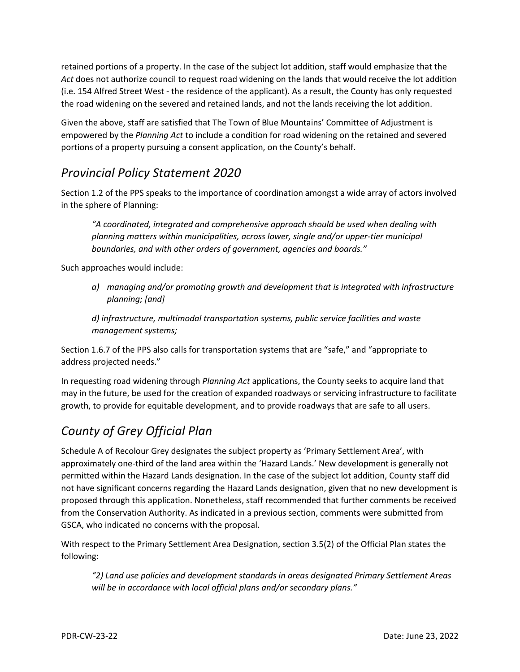retained portions of a property. In the case of the subject lot addition, staff would emphasize that the *Act* does not authorize council to request road widening on the lands that would receive the lot addition (i.e. 154 Alfred Street West - the residence of the applicant). As a result, the County has only requested the road widening on the severed and retained lands, and not the lands receiving the lot addition.

Given the above, staff are satisfied that The Town of Blue Mountains' Committee of Adjustment is empowered by the *Planning Act* to include a condition for road widening on the retained and severed portions of a property pursuing a consent application, on the County's behalf.

#### *Provincial Policy Statement 2020*

Section 1.2 of the PPS speaks to the importance of coordination amongst a wide array of actors involved in the sphere of Planning:

*"A coordinated, integrated and comprehensive approach should be used when dealing with planning matters within municipalities, across lower, single and/or upper-tier municipal boundaries, and with other orders of government, agencies and boards."*

Such approaches would include:

*a) managing and/or promoting growth and development that is integrated with infrastructure planning; [and]*

*d) infrastructure, multimodal transportation systems, public service facilities and waste management systems;*

Section 1.6.7 of the PPS also calls for transportation systems that are "safe," and "appropriate to address projected needs."

In requesting road widening through *Planning Act* applications, the County seeks to acquire land that may in the future, be used for the creation of expanded roadways or servicing infrastructure to facilitate growth, to provide for equitable development, and to provide roadways that are safe to all users.

# *County of Grey Official Plan*

Schedule A of Recolour Grey designates the subject property as 'Primary Settlement Area', with approximately one-third of the land area within the 'Hazard Lands.' New development is generally not permitted within the Hazard Lands designation. In the case of the subject lot addition, County staff did not have significant concerns regarding the Hazard Lands designation, given that no new development is proposed through this application. Nonetheless, staff recommended that further comments be received from the Conservation Authority. As indicated in a previous section, comments were submitted from GSCA, who indicated no concerns with the proposal.

With respect to the Primary Settlement Area Designation, section 3.5(2) of the Official Plan states the following:

*"2) Land use policies and development standards in areas designated Primary Settlement Areas will be in accordance with local official plans and/or secondary plans."*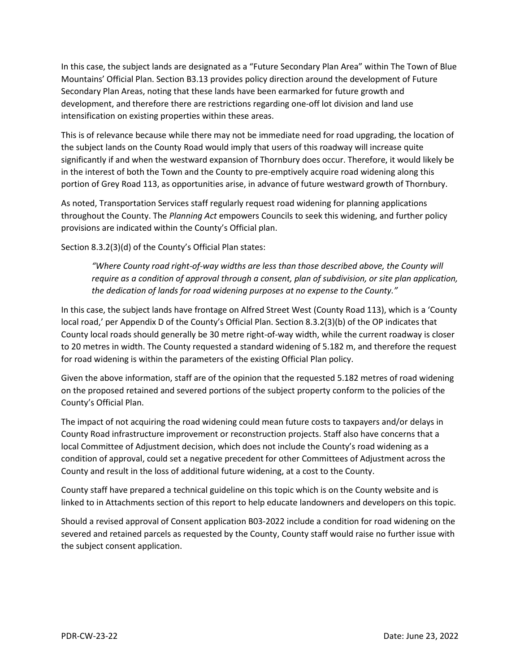In this case, the subject lands are designated as a "Future Secondary Plan Area" within The Town of Blue Mountains' Official Plan. Section B3.13 provides policy direction around the development of Future Secondary Plan Areas, noting that these lands have been earmarked for future growth and development, and therefore there are restrictions regarding one-off lot division and land use intensification on existing properties within these areas.

This is of relevance because while there may not be immediate need for road upgrading, the location of the subject lands on the County Road would imply that users of this roadway will increase quite significantly if and when the westward expansion of Thornbury does occur. Therefore, it would likely be in the interest of both the Town and the County to pre-emptively acquire road widening along this portion of Grey Road 113, as opportunities arise, in advance of future westward growth of Thornbury.

As noted, Transportation Services staff regularly request road widening for planning applications throughout the County. The *Planning Act* empowers Councils to seek this widening, and further policy provisions are indicated within the County's Official plan.

Section 8.3.2(3)(d) of the County's Official Plan states:

*"Where County road right-of-way widths are less than those described above, the County will require as a condition of approval through a consent, plan of subdivision, or site plan application, the dedication of lands for road widening purposes at no expense to the County."*

In this case, the subject lands have frontage on Alfred Street West (County Road 113), which is a 'County local road,' per Appendix D of the County's Official Plan. Section 8.3.2(3)(b) of the OP indicates that County local roads should generally be 30 metre right-of-way width, while the current roadway is closer to 20 metres in width. The County requested a standard widening of 5.182 m, and therefore the request for road widening is within the parameters of the existing Official Plan policy.

Given the above information, staff are of the opinion that the requested 5.182 metres of road widening on the proposed retained and severed portions of the subject property conform to the policies of the County's Official Plan.

The impact of not acquiring the road widening could mean future costs to taxpayers and/or delays in County Road infrastructure improvement or reconstruction projects. Staff also have concerns that a local Committee of Adjustment decision, which does not include the County's road widening as a condition of approval, could set a negative precedent for other Committees of Adjustment across the County and result in the loss of additional future widening, at a cost to the County.

County staff have prepared a technical guideline on this topic which is on the County website and is linked to in Attachments section of this report to help educate landowners and developers on this topic.

Should a revised approval of Consent application B03-2022 include a condition for road widening on the severed and retained parcels as requested by the County, County staff would raise no further issue with the subject consent application.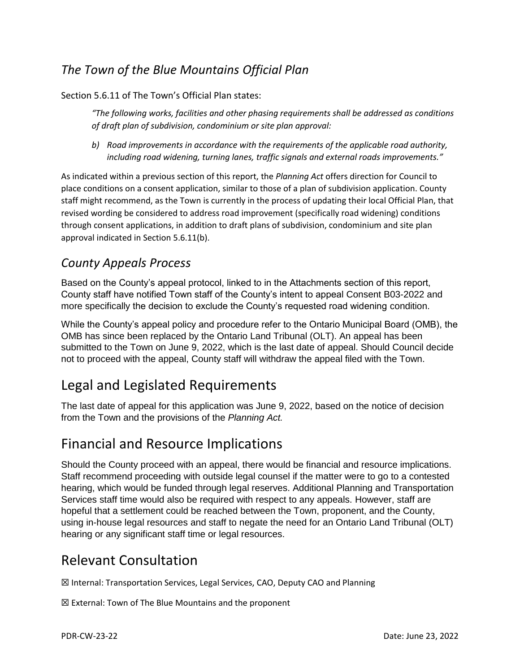### *The Town of the Blue Mountains Official Plan*

#### Section 5.6.11 of The Town's Official Plan states:

*"The following works, facilities and other phasing requirements shall be addressed as conditions of draft plan of subdivision, condominium or site plan approval:*

*b) Road improvements in accordance with the requirements of the applicable road authority, including road widening, turning lanes, traffic signals and external roads improvements."*

As indicated within a previous section of this report, the *Planning Act* offers direction for Council to place conditions on a consent application, similar to those of a plan of subdivision application. County staff might recommend, as the Town is currently in the process of updating their local Official Plan, that revised wording be considered to address road improvement (specifically road widening) conditions through consent applications, in addition to draft plans of subdivision, condominium and site plan approval indicated in Section 5.6.11(b).

#### *County Appeals Process*

Based on the County's appeal protocol, linked to in the Attachments section of this report, County staff have notified Town staff of the County's intent to appeal Consent B03-2022 and more specifically the decision to exclude the County's requested road widening condition.

While the County's appeal policy and procedure refer to the Ontario Municipal Board (OMB), the OMB has since been replaced by the Ontario Land Tribunal (OLT). An appeal has been submitted to the Town on June 9, 2022, which is the last date of appeal. Should Council decide not to proceed with the appeal, County staff will withdraw the appeal filed with the Town.

# Legal and Legislated Requirements

The last date of appeal for this application was June 9, 2022, based on the notice of decision from the Town and the provisions of the *Planning Act.*

# Financial and Resource Implications

Should the County proceed with an appeal, there would be financial and resource implications. Staff recommend proceeding with outside legal counsel if the matter were to go to a contested hearing, which would be funded through legal reserves. Additional Planning and Transportation Services staff time would also be required with respect to any appeals. However, staff are hopeful that a settlement could be reached between the Town, proponent, and the County, using in-house legal resources and staff to negate the need for an Ontario Land Tribunal (OLT) hearing or any significant staff time or legal resources.

# Relevant Consultation

☒ Internal: Transportation Services, Legal Services, CAO, Deputy CAO and Planning

☒ External: Town of The Blue Mountains and the proponent